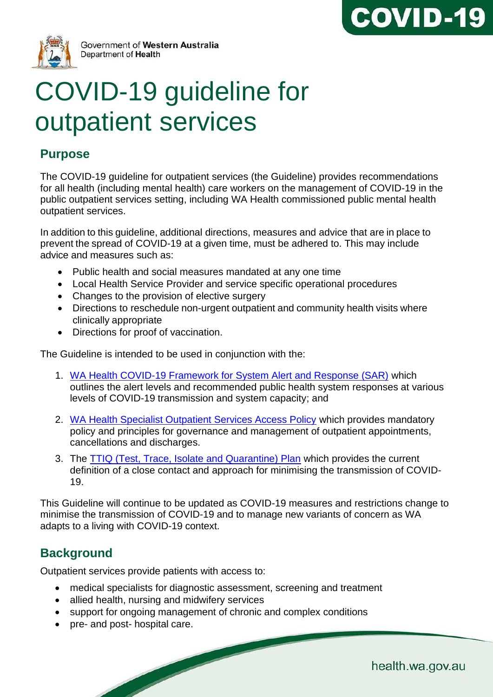



Government of Western Australia Department of Health

# COVID-19 guideline for outpatient services

# **Purpose**

The COVID-19 guideline for outpatient services (the Guideline) provides recommendations for all health (including mental health) care workers on the management of COVID-19 in the public outpatient services setting, including WA Health commissioned public mental health outpatient services.

In addition to this guideline, additional directions, measures and advice that are in place to prevent the spread of COVID-19 at a given time, must be adhered to. This may include advice and measures such as:

- Public health and social measures mandated at any one time
- Local Health Service Provider and service specific operational procedures
- Changes to the provision of elective surgery
- Directions to reschedule non-urgent outpatient and community health visits where clinically appropriate
- Directions for proof of vaccination.

The Guideline is intended to be used in conjunction with the:

- 1. [WA Health COVID-19 Framework for System Alert and Response \(SAR\)](https://ww2.health.wa.gov.au/~/media/Corp/Documents/Health-for/Infectious-disease/COVID19/WA-Health-COVID-19-Framework-for-System-Alert-and-Response.pdf) which outlines the alert levels and recommended public health system responses at various levels of COVID-19 transmission and system capacity; and
- 2. [WA Health Specialist Outpatient Services Access Policy](https://ww2.health.wa.gov.au/~/media/Files/Corporate/Policy-Frameworks/Clinical-Services-Planning-and-Programs/Policy/Specialist-Outpatient-Services-Access-Policy/OD530-Specialist-Outpatient-Services-Access-Policy.pdf) which provides mandatory policy and principles for governance and management of outpatient appointments, cancellations and discharges.
- 3. The [TTIQ \(Test, Trace, Isolate and Quarantine\) Plan](https://ww2.health.wa.gov.au/Articles/A_E/Coronavirus/COVID19-information-for-business-and-industry/TTIQ-Plan) which provides the current definition of a close contact and approach for minimising the transmission of COVID-19.

This Guideline will continue to be updated as COVID-19 measures and restrictions change to minimise the transmission of COVID-19 and to manage new variants of concern as WA adapts to a living with COVID-19 context.

# **Background**

Outpatient services provide patients with access to:

- medical specialists for diagnostic assessment, screening and treatment
- allied health, nursing and midwifery services
- support for ongoing management of chronic and complex conditions
- pre- and post- hospital care.

health.wa.gov.au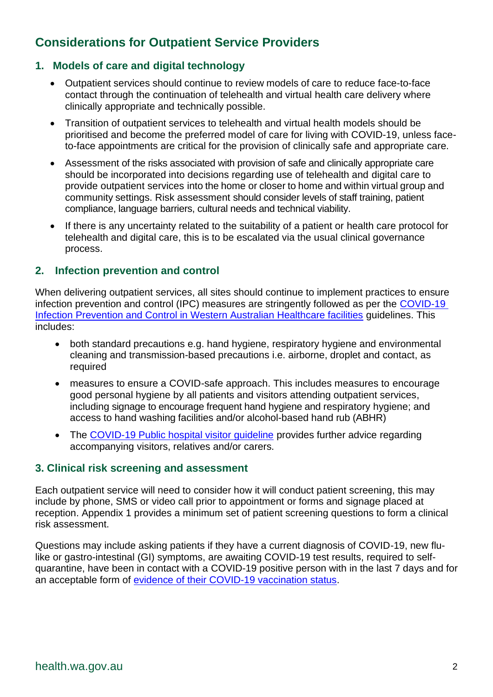# **Considerations for Outpatient Service Providers**

#### **1. Models of care and digital technology**

- Outpatient services should continue to review models of care to reduce face-to-face contact through the continuation of telehealth and virtual health care delivery where clinically appropriate and technically possible.
- Transition of outpatient services to telehealth and virtual health models should be prioritised and become the preferred model of care for living with COVID-19, unless faceto-face appointments are critical for the provision of clinically safe and appropriate care.
- Assessment of the risks associated with provision of safe and clinically appropriate care should be incorporated into decisions regarding use of telehealth and digital care to provide outpatient services into the home or closer to home and within virtual group and community settings. Risk assessment should consider levels of staff training, patient compliance, language barriers, cultural needs and technical viability.
- If there is any uncertainty related to the suitability of a patient or health care protocol for telehealth and digital care, this is to be escalated via the usual clinical governance process.

#### **2. Infection prevention and control**

When delivering outpatient services, all sites should continue to implement practices to ensure infection prevention and control (IPC) measures are stringently followed as per the [COVID-19](https://ww2.health.wa.gov.au/~/media/Corp/Documents/Health-for/Infectious-disease/COVID19/COVID19-Infection-Prevention-and-Control-in-Hospitals.pdf)  Infection [Prevention and Control in Western Australian Healthcare facilities](https://ww2.health.wa.gov.au/~/media/Corp/Documents/Health-for/Infectious-disease/COVID19/COVID19-Infection-Prevention-and-Control-in-Hospitals.pdf) guidelines. This includes:

- both standard precautions e.g. hand hygiene, respiratory hygiene and environmental cleaning and transmission-based precautions i.e. airborne, droplet and contact, as required
- measures to ensure a COVID-safe approach. This includes measures to encourage good personal hygiene by all patients and visitors attending outpatient services, including signage to encourage frequent hand hygiene and respiratory hygiene; and access to hand washing facilities and/or alcohol-based hand rub (ABHR)
- The [COVID-19 Public hospital visitor guideline](https://ww2.health.wa.gov.au/-/media/Corp/Documents/Health-for/Infectious-disease/COVID19/COVID19-Public-hospital-visitor-guidelines.pdf) provides further advice regarding accompanying visitors, relatives and/or carers.

#### **3. Clinical risk screening and assessment**

Each outpatient service will need to consider how it will conduct patient screening, this may include by phone, SMS or video call prior to appointment or forms and signage placed at reception. Appendix 1 provides a minimum set of patient screening questions to form a clinical risk assessment.

Questions may include asking patients if they have a current diagnosis of COVID-19, new flulike or gastro-intestinal (GI) symptoms, are awaiting COVID-19 test results, required to selfquarantine, have been in contact with a COVID-19 positive person with in the last 7 days and for an acceptable form of [evidence of their COVID-19 vaccination status.](https://www.wa.gov.au/government/covid-19-coronavirus/covid-19-coronavirus-what-proof-of-covid-19-vaccinations-can-i-use)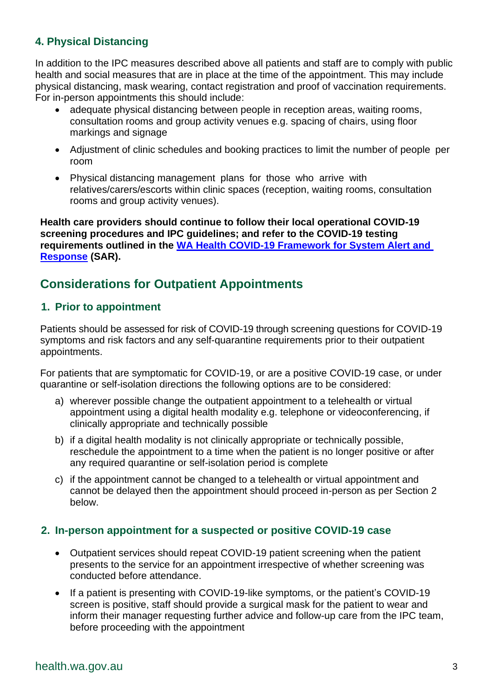## **4. Physical Distancing**

In addition to the IPC measures described above all patients and staff are to comply with public health and social measures that are in place at the time of the appointment. This may include physical distancing, mask wearing, contact registration and proof of vaccination requirements. For in-person appointments this should include:

- adequate physical distancing between people in reception areas, waiting rooms, consultation rooms and group activity venues e.g. spacing of chairs, using floor markings and signage
- Adjustment of clinic schedules and booking practices to limit the number of people per room
- Physical distancing management plans for those who arrive with relatives/carers/escorts within clinic spaces (reception, waiting rooms, consultation rooms and group activity venues).

**Health care providers should continue to follow their local operational COVID-19 screening procedures and IPC guidelines; and refer to the COVID-19 testing requirements outlined in the [WA Health COVID-19 Framework for System Alert and](https://ww2.health.wa.gov.au/Articles/A_E/Coronavirus/COVID19-Framework-for-System-Alert-and-Response#:~:text=Current%20alert%20level%20%20%20%20Alert%20level,%28black%29%20%20%20N%2FA%20%20%20N%2FA%20)  [Response](https://ww2.health.wa.gov.au/Articles/A_E/Coronavirus/COVID19-Framework-for-System-Alert-and-Response#:~:text=Current%20alert%20level%20%20%20%20Alert%20level,%28black%29%20%20%20N%2FA%20%20%20N%2FA%20) (SAR).**

## **Considerations for Outpatient Appointments**

#### **1. Prior to appointment**

Patients should be assessed for risk of COVID-19 through screening questions for COVID-19 symptoms and risk factors and any self-quarantine requirements prior to their outpatient appointments.

For patients that are symptomatic for COVID-19, or are a positive COVID-19 case, or under quarantine or self-isolation directions the following options are to be considered:

- a) wherever possible change the outpatient appointment to a telehealth or virtual appointment using a digital health modality e.g. telephone or videoconferencing, if clinically appropriate and technically possible
- b) if a digital health modality is not clinically appropriate or technically possible, reschedule the appointment to a time when the patient is no longer positive or after any required quarantine or self-isolation period is complete
- c) if the appointment cannot be changed to a telehealth or virtual appointment and cannot be delayed then the appointment should proceed in-person as per Section 2 below.

#### **2. In-person appointment for a suspected or positive COVID-19 case**

- Outpatient services should repeat COVID-19 patient screening when the patient presents to the service for an appointment irrespective of whether screening was conducted before attendance.
- If a patient is presenting with COVID-19-like symptoms, or the patient's COVID-19 screen is positive, staff should provide a surgical mask for the patient to wear and inform their manager requesting further advice and follow-up care from the IPC team, before proceeding with the appointment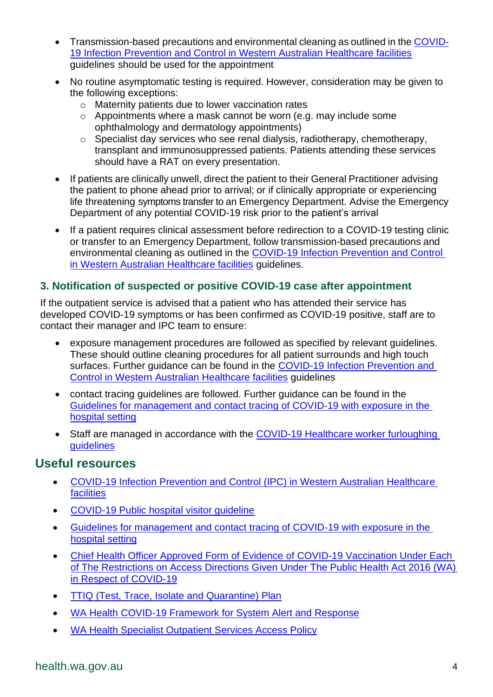- Transmission-based precautions and environmental cleaning as outlined in the [COVID-](https://ww2.health.wa.gov.au/~/media/Corp/Documents/Health-for/Infectious-disease/COVID19/COVID19-Infection-Prevention-and-Control-in-Hospitals.pdf)19 Infection [Prevention and Control in Western Australian Healthcare facilities](https://ww2.health.wa.gov.au/~/media/Corp/Documents/Health-for/Infectious-disease/COVID19/COVID19-Infection-Prevention-and-Control-in-Hospitals.pdf) guidelines should be used for the appointment
- No routine asymptomatic testing is required. However, consideration may be given to the following exceptions:
	- o Maternity patients due to lower vaccination rates
	- o Appointments where a mask cannot be worn (e.g. may include some ophthalmology and dermatology appointments)
	- o Specialist day services who see renal dialysis, radiotherapy, chemotherapy, transplant and immunosuppressed patients. Patients attending these services should have a RAT on every presentation.
- If patients are clinically unwell, direct the patient to their General Practitioner advising the patient to phone ahead prior to arrival; or if clinically appropriate or experiencing life threatening symptoms transfer to an Emergency Department. Advise the Emergency Department of any potential COVID-19 risk prior to the patient's arrival
- If a patient requires clinical assessment before redirection to a COVID-19 testing clinic or transfer to an Emergency Department, follow transmission-based precautions and environmental cleaning as outlined in the COVID-19 Infection [Prevention and Control](https://ww2.health.wa.gov.au/~/media/Corp/Documents/Health-for/Infectious-disease/COVID19/COVID19-Infection-Prevention-and-Control-in-Hospitals.pdf)  [in Western Australian Healthcare facilities](https://ww2.health.wa.gov.au/~/media/Corp/Documents/Health-for/Infectious-disease/COVID19/COVID19-Infection-Prevention-and-Control-in-Hospitals.pdf) guidelines.

## **3. Notification of suspected or positive COVID-19 case after appointment**

If the outpatient service is advised that a patient who has attended their service has developed COVID-19 symptoms or has been confirmed as COVID-19 positive, staff are to contact their manager and IPC team to ensure:

- exposure management procedures are followed as specified by relevant guidelines. These should outline cleaning procedures for all patient surrounds and high touch surfaces. Further guidance can be found in the [COVID-19 Infection](https://ww2.health.wa.gov.au/~/media/Corp/Documents/Health-for/Infectious-disease/COVID19/COVID19-Infection-Prevention-and-Control-in-Hospitals.pdf) Prevention and [Control in Western Australian Healthcare facilities](https://ww2.health.wa.gov.au/~/media/Corp/Documents/Health-for/Infectious-disease/COVID19/COVID19-Infection-Prevention-and-Control-in-Hospitals.pdf) guidelines
- contact tracing guidelines are followed. Further guidance can be found in the [Guidelines for management and contact tracing of COVID-19 with exposure in the](https://ww2.health.wa.gov.au/-/media/Corp/Documents/Health-for/Infectious-disease/COVID19/Guidelines-for-management-and-contact-tracing-of-COVID-19-with-exposure-in-the-hospital-setting.pdf)  [hospital setting](https://ww2.health.wa.gov.au/-/media/Corp/Documents/Health-for/Infectious-disease/COVID19/Guidelines-for-management-and-contact-tracing-of-COVID-19-with-exposure-in-the-hospital-setting.pdf)
- Staff are managed in accordance with the [COVID-19 Healthcare worker furloughing](https://ww2.health.wa.gov.au/Articles/A_E/Coronavirus/COVID19-information-for-health-professionals/Transition-policies-and-resources-for-healthcare-workers)  [guidelines](https://ww2.health.wa.gov.au/Articles/A_E/Coronavirus/COVID19-information-for-health-professionals/Transition-policies-and-resources-for-healthcare-workers)

## **Useful resources**

- [COVID-19 Infection Prevention and Control \(IPC\) in Western Australian Healthcare](https://www.healthywa.wa.gov.au/~/media/Corp/Documents/Health-for/Infectious-disease/COVID19/COVID19-Infection-Prevention-and-Control-in-Hospitals.pdf)  [facilities](https://www.healthywa.wa.gov.au/~/media/Corp/Documents/Health-for/Infectious-disease/COVID19/COVID19-Infection-Prevention-and-Control-in-Hospitals.pdf)
- [COVID-19 Public hospital visitor guideline](https://ww2.health.wa.gov.au/-/media/Corp/Documents/Health-for/Infectious-disease/COVID19/COVID19-Public-hospital-visitor-guidelines.pdf)
- [Guidelines for management and contact tracing of COVID-19 with exposure in the](https://ww2.health.wa.gov.au/-/media/Corp/Documents/Health-for/Infectious-disease/COVID19/Guidelines-for-management-and-contact-tracing-of-COVID-19-with-exposure-in-the-hospital-setting.pdf)  [hospital setting](https://ww2.health.wa.gov.au/-/media/Corp/Documents/Health-for/Infectious-disease/COVID19/Guidelines-for-management-and-contact-tracing-of-COVID-19-with-exposure-in-the-hospital-setting.pdf)
- Chief Health Officer Approved Form of Evidence of COVID-19 Vaccination Under Each of The Restrictions on Access Directions Given Under The Public Health Act 2016 (WA) in Respect of COVID-19
- [TTIQ \(Test, Trace, Isolate and Quarantine\) Plan](https://ww2.health.wa.gov.au/Articles/A_E/Coronavirus/COVID19-information-for-business-and-industry/TTIQ-Plan)
- [WA Health COVID-19 Framework for System Alert and Response](https://ww2.health.wa.gov.au/~/media/Corp/Documents/Health-for/Infectious-disease/COVID19/WA-Health-COVID-19-Framework-for-System-Alert-and-Response.pdf)
- [WA Health Specialist Outpatient Services Access Policy](https://ww2.health.wa.gov.au/~/media/Files/Corporate/Policy-Frameworks/Clinical-Services-Planning-and-Programs/Policy/Specialist-Outpatient-Services-Access-Policy/OD530-Specialist-Outpatient-Services-Access-Policy.pdf)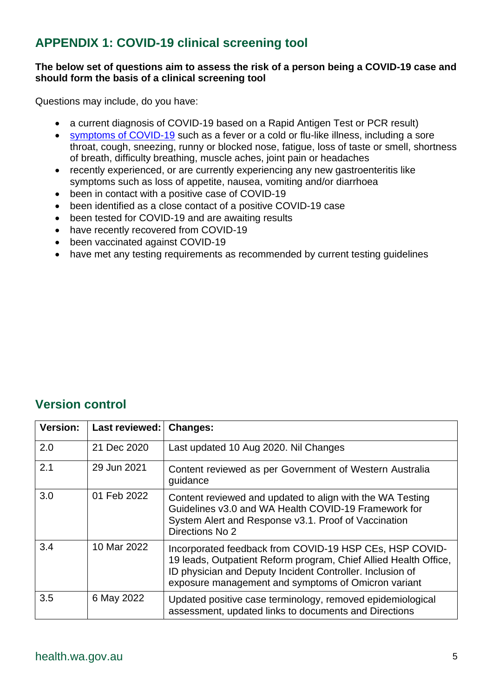## **APPENDIX 1: COVID-19 clinical screening tool**

#### **The below set of questions aim to assess the risk of a person being a COVID-19 case and should form the basis of a clinical screening tool**

Questions may include, do you have:

- a current diagnosis of COVID-19 based on a Rapid Antigen Test or PCR result)
- [symptoms of COVID-19](https://www.health.gov.au/sites/default/files/documents/2020/10/coronavirus-covid-19-identifying-the-symptoms_2.pdf) such as a fever or a cold or flu-like illness, including a sore throat, cough, sneezing, runny or blocked nose, fatigue, loss of taste or smell, shortness of breath, difficulty breathing, muscle aches, joint pain or headaches
- recently experienced, or are currently experiencing any new gastroenteritis like symptoms such as loss of appetite, nausea, vomiting and/or diarrhoea
- been in contact with a positive case of COVID-19
- been identified as a close contact of a positive COVID-19 case
- been tested for COVID-19 and are awaiting results
- have recently recovered from COVID-19
- been vaccinated against COVID-19
- have met any testing requirements as recommended by current testing guidelines

## **Version control**

| <b>Version:</b> | Last reviewed: | <b>Changes:</b>                                                                                                                                                                                                                                 |
|-----------------|----------------|-------------------------------------------------------------------------------------------------------------------------------------------------------------------------------------------------------------------------------------------------|
| 2.0             | 21 Dec 2020    | Last updated 10 Aug 2020. Nil Changes                                                                                                                                                                                                           |
| 2.1             | 29 Jun 2021    | Content reviewed as per Government of Western Australia<br>guidance                                                                                                                                                                             |
| 3.0             | 01 Feb 2022    | Content reviewed and updated to align with the WA Testing<br>Guidelines v3.0 and WA Health COVID-19 Framework for<br>System Alert and Response v3.1. Proof of Vaccination<br>Directions No 2                                                    |
| 3.4             | 10 Mar 2022    | Incorporated feedback from COVID-19 HSP CEs, HSP COVID-<br>19 leads, Outpatient Reform program, Chief Allied Health Office,<br>ID physician and Deputy Incident Controller. Inclusion of<br>exposure management and symptoms of Omicron variant |
| 3.5             | 6 May 2022     | Updated positive case terminology, removed epidemiological<br>assessment, updated links to documents and Directions                                                                                                                             |